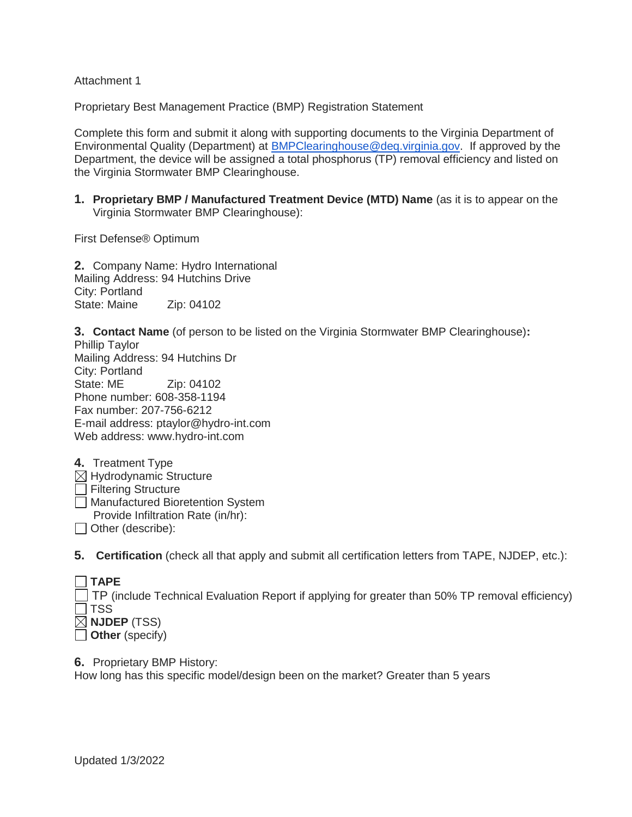Attachment 1

Proprietary Best Management Practice (BMP) Registration Statement

Complete this form and submit it along with supporting documents to the Virginia Department of Environmental Quality (Department) at [BMPClearinghouse@deq.virginia.gov.](mailto:BMPClearinghouse@deq.virginia.gov) If approved by the Department, the device will be assigned a total phosphorus (TP) removal efficiency and listed on the Virginia Stormwater BMP Clearinghouse.

**1. Proprietary BMP / Manufactured Treatment Device (MTD) Name** (as it is to appear on the Virginia Stormwater BMP Clearinghouse):

First Defense® Optimum

**2.** Company Name: Hydro International Mailing Address: 94 Hutchins Drive City: Portland State: Maine Zip: 04102

**3. Contact Name** (of person to be listed on the Virginia Stormwater BMP Clearinghouse)**:**  Phillip Taylor Mailing Address: 94 Hutchins Dr City: Portland State: ME Zip: 04102 Phone number: 608-358-1194 Fax number: 207-756-6212 E-mail address: ptaylor@hydro-int.com Web address: www.hydro-int.com

| 4. Treatment Type                  |
|------------------------------------|
| $\boxtimes$ Hydrodynamic Structure |
| Filtering Structure                |
| Manufactured Bioretention System   |
| Provide Infiltration Rate (in/hr): |
| Other (describe):                  |

**5. Certification** (check all that apply and submit all certification letters from TAPE, NJDEP, etc.):

| $\Box$ TAPE                                                                                            |
|--------------------------------------------------------------------------------------------------------|
| $\Box$ TP (include Technical Evaluation Report if applying for greater than 50% TP removal efficiency) |
| $\Box$ TSS                                                                                             |
| $\boxtimes$ NJDEP (TSS)                                                                                |
| $\Box$ Other (specify)                                                                                 |

**6.** Proprietary BMP History:

How long has this specific model/design been on the market? Greater than 5 years